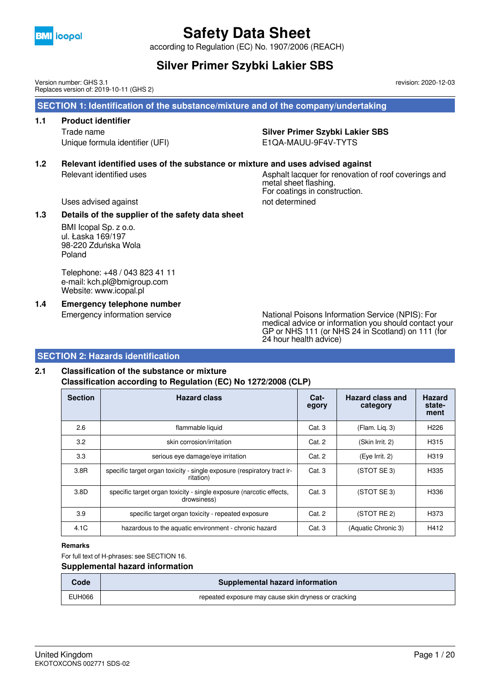

according to Regulation (EC) No. 1907/2006 (REACH)

## **Silver Primer Szybki Lakier SBS**

Version number: GHS 3.1 Replaces version of: 2019-10-11 (GHS 2) revision: 2020-12-03

 **SECTION 1: Identification of the substance/mixture and of the company/undertaking**

## **1.1 Product identifier**

Unique formula identifier (UFI) E1QA-MAUU-9F4V-TYTS

### Trade name **Silver Primer Szybki Lakier SBS**

For coatings in construction.

### **1.2 Relevant identified uses of the substance or mixture and uses advised against**

### Relevant identified uses **Asphalt lacquer for renovation of roof coverings and** metal sheet flashing.

Uses advised against not determined

#### **1.3 Details of the supplier of the safety data sheet**

BMI Icopal Sp. z o.o. ul. Łaska 169/197 98-220 Zduńska Wola Poland

Telephone: +48 / 043 823 41 11 e-mail: kch.pl@bmigroup.com Website: www.icopal.pl

**1.4 Emergency telephone number**

Emergency information service National Poisons Information Service (NPIS): For medical advice or information you should contact your GP or NHS 111 (or NHS 24 in Scotland) on 111 (for 24 hour health advice)

### **SECTION 2: Hazards identification**

### **2.1 Classification of the substance or mixture Classification according to Regulation (EC) No 1272/2008 (CLP)**

| <b>Section</b> | <b>Hazard class</b>                                                                  | Cat-<br>egory | Hazard class and<br>category | <b>Hazard</b><br>state-<br>ment |
|----------------|--------------------------------------------------------------------------------------|---------------|------------------------------|---------------------------------|
| 2.6            | flammable liquid                                                                     | Cat.3         | (Flam. Lig. 3)               | H <sub>226</sub>                |
| 3.2            | skin corrosion/irritation                                                            | Cat. 2        | (Skin Irrit. 2)              | H315                            |
| 3.3            | serious eye damage/eye irritation                                                    | Cat. 2        | (Eye Irrit. 2)               | H319                            |
| 3.8R           | specific target organ toxicity - single exposure (respiratory tract ir-<br>ritation) | Cat.3         | (STOT SE 3)                  | H335                            |
| 3.8D           | specific target organ toxicity - single exposure (narcotic effects,<br>drowsiness)   | Cat.3         | (STOT SE 3)                  | H336                            |
| 3.9            | specific target organ toxicity - repeated exposure                                   | Cat. 2        | (STOT RE 2)                  | H373                            |
| 4.1C           | hazardous to the aquatic environment - chronic hazard                                | Cat. 3        | (Aquatic Chronic 3)          | H412                            |

**Remarks**

For full text of H-phrases: see SECTION 16.

#### **Supplemental hazard information**

| Code   | Supplemental hazard information                      |
|--------|------------------------------------------------------|
| EUH066 | repeated exposure may cause skin dryness or cracking |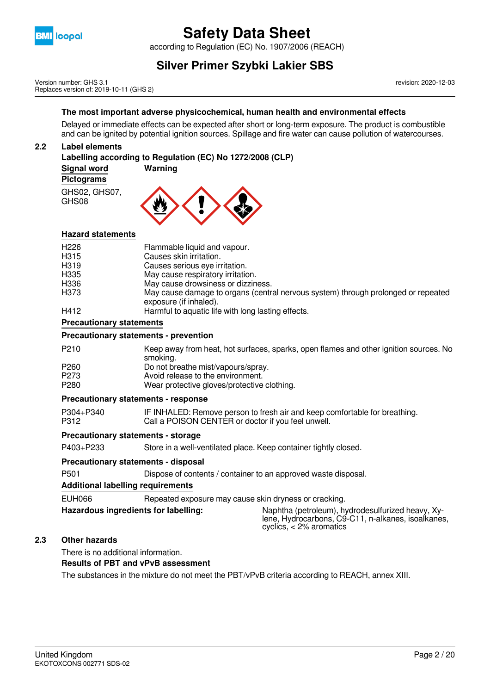

according to Regulation (EC) No. 1907/2006 (REACH)

## **Silver Primer Szybki Lakier SBS**

Version number: GHS 3.1 Replaces version of: 2019-10-11 (GHS 2) revision: 2020-12-03

#### **The most important adverse physicochemical, human health and environmental effects**

Delayed or immediate effects can be expected after short or long-term exposure. The product is combustible and can be ignited by potential ignition sources. Spillage and fire water can cause pollution of watercourses.

#### **2.2 Label elements**

#### **Labelling according to Regulation (EC) No 1272/2008 (CLP)**

**Signal word Warning**

#### **Pictograms**

GHS02, GHS07, GHS08



#### **Hazard statements**

| H <sub>226</sub><br>H <sub>315</sub> | Flammable liquid and vapour.<br>Causes skin irritation.                                                     |
|--------------------------------------|-------------------------------------------------------------------------------------------------------------|
| H <sub>3</sub> 19                    | Causes serious eye irritation.                                                                              |
| H <sub>335</sub>                     | May cause respiratory irritation.                                                                           |
|                                      |                                                                                                             |
| H336                                 | May cause drowsiness or dizziness.                                                                          |
| H373                                 | May cause damage to organs (central nervous system) through prolonged or repeated<br>exposure (if inhaled). |
| H412                                 | Harmful to aquatic life with long lasting effects.                                                          |

#### **Precautionary statements**

#### **Precautionary statements - prevention**

| P <sub>210</sub> | Keep away from heat, hot surfaces, sparks, open flames and other ignition sources. No |
|------------------|---------------------------------------------------------------------------------------|
|                  | smoking.                                                                              |
| P <sub>260</sub> | Do not breathe mist/vapours/spray.                                                    |
| P <sub>273</sub> | Avoid release to the environment.                                                     |
| P <sub>280</sub> | Wear protective gloves/protective clothing.                                           |

#### **Precautionary statements - response**

P304+P340 IF INHALED: Remove person to fresh air and keep comfortable for breathing.<br>P312 Call a POISON CENTER or doctor if you feel unwell. Call a POISON CENTER or doctor if you feel unwell.

#### **Precautionary statements - storage**

P403+P233 Store in a well-ventilated place. Keep container tightly closed.

#### **Precautionary statements - disposal**

P501 Dispose of contents / container to an approved waste disposal.

#### **Additional labelling requirements**

EUH066 Repeated exposure may cause skin dryness or cracking. **Hazardous ingredients for labelling:** Naphtha (petroleum), hydrodesulfurized heavy, Xy-

lene, Hydrocarbons, C9-C11, n-alkanes, isoalkanes, cyclics, < 2% aromatics

#### **2.3 Other hazards**

There is no additional information.

#### **Results of PBT and vPvB assessment**

The substances in the mixture do not meet the PBT/vPvB criteria according to REACH, annex XIII.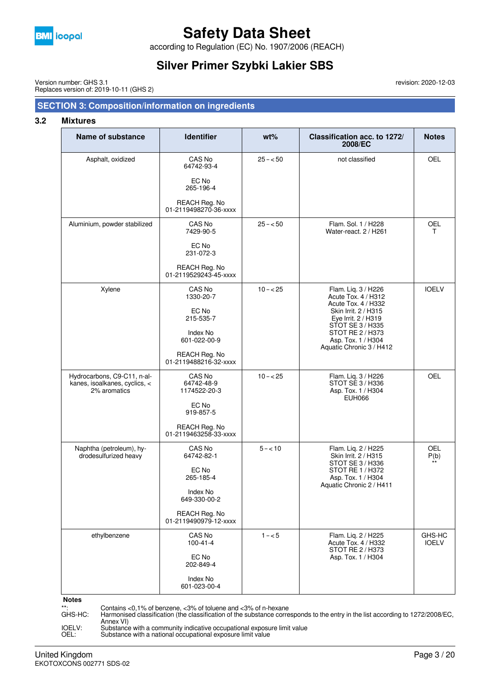

according to Regulation (EC) No. 1907/2006 (REACH)

## **Silver Primer Szybki Lakier SBS**

Version number: GHS 3.1 Replaces version of: 2019-10-11 (GHS 2)

### **SECTION 3: Composition/information on ingredients**

#### **3.2 Mixtures**

| Name of substance                                                            | <b>Identifier</b>                                                                                                | $wt\%$    | Classification acc. to 1272/<br>2008/EC                                                                                                                                                                         | <b>Notes</b>           |
|------------------------------------------------------------------------------|------------------------------------------------------------------------------------------------------------------|-----------|-----------------------------------------------------------------------------------------------------------------------------------------------------------------------------------------------------------------|------------------------|
| Asphalt, oxidized                                                            | CAS No<br>64742-93-4<br>EC No<br>265-196-4<br>REACH Reg. No<br>01-2119498270-36-xxxx                             | $25 - 50$ | not classified                                                                                                                                                                                                  | OEL                    |
| Aluminium, powder stabilized                                                 | CAS No<br>7429-90-5<br>EC No<br>231-072-3<br>REACH Reg. No<br>01-2119529243-45-xxxx                              | $25 - 50$ | Flam. Sol. 1 / H228<br>Water-react, 2 / H261                                                                                                                                                                    | <b>OEL</b><br>T.       |
| Xylene                                                                       | CAS No<br>1330-20-7<br>EC No<br>215-535-7<br>Index No<br>601-022-00-9<br>REACH Reg. No<br>01-2119488216-32-xxxx  | $10 - 25$ | Flam. Liq. 3 / H226<br>Acute Tox. 4 / H312<br>Acute Tox. 4 / H332<br>Skin Irrit. 2 / H315<br>Eye Irrit. 2 / H319<br>STOT SE 3 / H335<br><b>STOT RE 2/H373</b><br>Asp. Tox. 1 / H304<br>Aquatic Chronic 3 / H412 | <b>IOELV</b>           |
| Hydrocarbons, C9-C11, n-al-<br>kanes, isoalkanes, cyclics, <<br>2% aromatics | CAS No<br>64742-48-9<br>1174522-20-3<br>EC No<br>919-857-5<br>REACH Reg. No<br>01-2119463258-33-xxxx             | $10 - 25$ | Flam. Liq. 3 / H226<br>STOT SE 3 / H336<br>Asp. Tox. 1 / H304<br><b>EUH066</b>                                                                                                                                  | <b>OEL</b>             |
| Naphtha (petroleum), hy-<br>drodesulfurized heavy                            | CAS No<br>64742-82-1<br>EC No<br>265-185-4<br>Index No<br>649-330-00-2<br>REACH Reg. No<br>01-2119490979-12-xxxx | $5 - 10$  | Flam. Liq. 2 / H225<br>Skin Irrit. 2 / H315<br>STOT SE 3 / H336<br>STOT RE 1 / H372<br>Asp. Tox. 1 / H304<br>Aquatic Chronic 2 / H411                                                                           | OEL<br>P(b)            |
| ethylbenzene                                                                 | CAS No<br>$100 - 41 - 4$<br>EC No<br>202-849-4<br>Index No<br>601-023-00-4                                       | $1 - 5$   | Flam. Lig. 2 / H225<br>Acute Tox. 4 / H332<br>STOT RE 2 / H373<br>Asp. Tox. 1 / H304                                                                                                                            | GHS-HC<br><b>IOELV</b> |

#### **Notes**

\*\*: Contains <0,1% of benzene, <3% of toluene and <3% of n-hexane

GHS-HC: Harmonised classification (the classification of the substance corresponds to the entry in the list according to 1272/2008/EC, Annex VI)

IOELV: Substance with a community indicative occupational exposure limit value OEL: Substance with a national occupational exposure limit value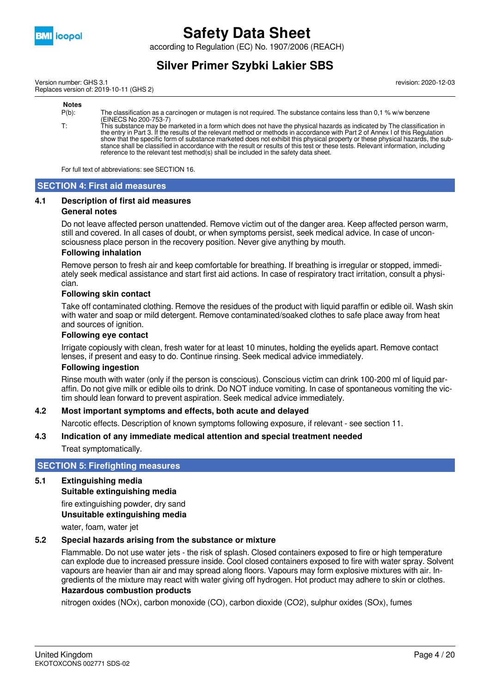

according to Regulation (EC) No. 1907/2006 (REACH)

## **Silver Primer Szybki Lakier SBS**

Version number: GHS 3.1 Replaces version of: 2019-10-11 (GHS 2) revision: 2020-12-03

#### **Notes** P(b): The classification as a carcinogen or mutagen is not required. The substance contains less than 0,1 % w/w benzene (EINECS No 200-753-7) T: This substance may be marketed in a form which does not have the physical hazards as indicated by The classification in the entry in Part 3. If the results of the relevant method or methods in accordance with Part 2 of Annex I of this Regulation show that the specific form of substance marketed does not exhibit this physical property or these physical hazards, the substance shall be classified in accordance with the result or results of this test or these tests. Relevant information, including reference to the relevant test method(s) shall be included in the safety data sheet.

For full text of abbreviations: see SECTION 16.

#### **SECTION 4: First aid measures**

#### **4.1 Description of first aid measures**

#### **General notes**

Do not leave affected person unattended. Remove victim out of the danger area. Keep affected person warm, still and covered. In all cases of doubt, or when symptoms persist, seek medical advice. In case of unconsciousness place person in the recovery position. Never give anything by mouth.

#### **Following inhalation**

Remove person to fresh air and keep comfortable for breathing. If breathing is irregular or stopped, immediately seek medical assistance and start first aid actions. In case of respiratory tract irritation, consult a physician.

#### **Following skin contact**

Take off contaminated clothing. Remove the residues of the product with liquid paraffin or edible oil. Wash skin with water and soap or mild detergent. Remove contaminated/soaked clothes to safe place away from heat and sources of ignition.

#### **Following eye contact**

Irrigate copiously with clean, fresh water for at least 10 minutes, holding the eyelids apart. Remove contact lenses, if present and easy to do. Continue rinsing. Seek medical advice immediately.

#### **Following ingestion**

Rinse mouth with water (only if the person is conscious). Conscious victim can drink 100-200 ml of liquid paraffin. Do not give milk or edible oils to drink. Do NOT induce vomiting. In case of spontaneous vomiting the victim should lean forward to prevent aspiration. Seek medical advice immediately.

#### **4.2 Most important symptoms and effects, both acute and delayed**

Narcotic effects. Description of known symptoms following exposure, if relevant - see section 11.

#### **4.3 Indication of any immediate medical attention and special treatment needed**

Treat symptomatically.

#### **SECTION 5: Firefighting measures**

#### **5.1 Extinguishing media**

**Suitable extinguishing media**

fire extinguishing powder, dry sand **Unsuitable extinguishing media**

water, foam, water jet

#### **5.2 Special hazards arising from the substance or mixture**

Flammable. Do not use water jets - the risk of splash. Closed containers exposed to fire or high temperature can explode due to increased pressure inside. Cool closed containers exposed to fire with water spray. Solvent vapours are heavier than air and may spread along floors. Vapours may form explosive mixtures with air. Ingredients of the mixture may react with water giving off hydrogen. Hot product may adhere to skin or clothes. **Hazardous combustion products**

nitrogen oxides (NOx), carbon monoxide (CO), carbon dioxide (CO2), sulphur oxides (SOx), fumes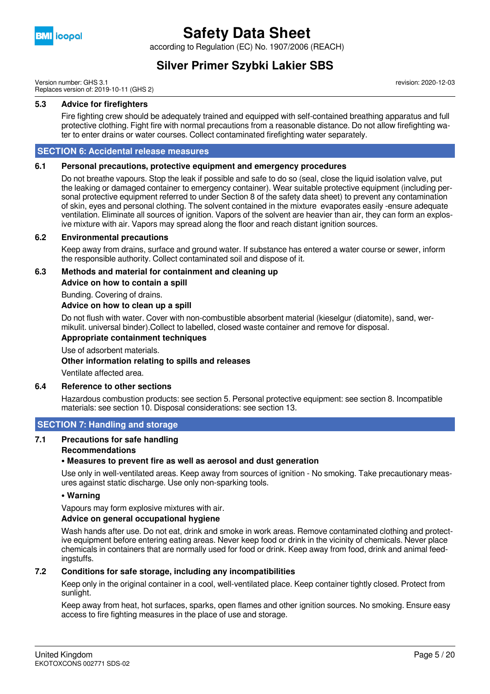

according to Regulation (EC) No. 1907/2006 (REACH)

### **Silver Primer Szybki Lakier SBS**

Version number: GHS 3.1 Replaces version of: 2019-10-11 (GHS 2) revision: 2020-12-03

#### **5.3 Advice for firefighters**

Fire fighting crew should be adequately trained and equipped with self-contained breathing apparatus and full protective clothing. Fight fire with normal precautions from a reasonable distance. Do not allow firefighting water to enter drains or water courses. Collect contaminated firefighting water separately.

#### **SECTION 6: Accidental release measures**

#### **6.1 Personal precautions, protective equipment and emergency procedures**

Do not breathe vapours. Stop the leak if possible and safe to do so (seal, close the liquid isolation valve, put the leaking or damaged container to emergency container). Wear suitable protective equipment (including personal protective equipment referred to under Section 8 of the safety data sheet) to prevent any contamination of skin, eyes and personal clothing. The solvent contained in the mixture evaporates easily -ensure adequate ventilation. Eliminate all sources of ignition. Vapors of the solvent are heavier than air, they can form an explosive mixture with air. Vapors may spread along the floor and reach distant ignition sources.

#### **6.2 Environmental precautions**

Keep away from drains, surface and ground water. If substance has entered a water course or sewer, inform the responsible authority. Collect contaminated soil and dispose of it.

#### **6.3 Methods and material for containment and cleaning up Advice on how to contain a spill**

Bunding. Covering of drains.

#### **Advice on how to clean up a spill**

Do not flush with water. Cover with non-combustible absorbent material (kieselgur (diatomite), sand, wermikulit. universal binder).Collect to labelled, closed waste container and remove for disposal.

#### **Appropriate containment techniques**

Use of adsorbent materials.

#### **Other information relating to spills and releases**

Ventilate affected area.

#### **6.4 Reference to other sections**

Hazardous combustion products: see section 5. Personal protective equipment: see section 8. Incompatible materials: see section 10. Disposal considerations: see section 13.

#### **SECTION 7: Handling and storage**

### **7.1 Precautions for safe handling**

#### **Recommendations**

#### **• Measures to prevent fire as well as aerosol and dust generation**

Use only in well-ventilated areas. Keep away from sources of ignition - No smoking. Take precautionary measures against static discharge. Use only non-sparking tools.

#### **• Warning**

Vapours may form explosive mixtures with air.

#### **Advice on general occupational hygiene**

Wash hands after use. Do not eat, drink and smoke in work areas. Remove contaminated clothing and protective equipment before entering eating areas. Never keep food or drink in the vicinity of chemicals. Never place chemicals in containers that are normally used for food or drink. Keep away from food, drink and animal feedingstuffs.

#### **7.2 Conditions for safe storage, including any incompatibilities**

Keep only in the original container in a cool, well-ventilated place. Keep container tightly closed. Protect from sunlight.

Keep away from heat, hot surfaces, sparks, open flames and other ignition sources. No smoking. Ensure easy access to fire fighting measures in the place of use and storage.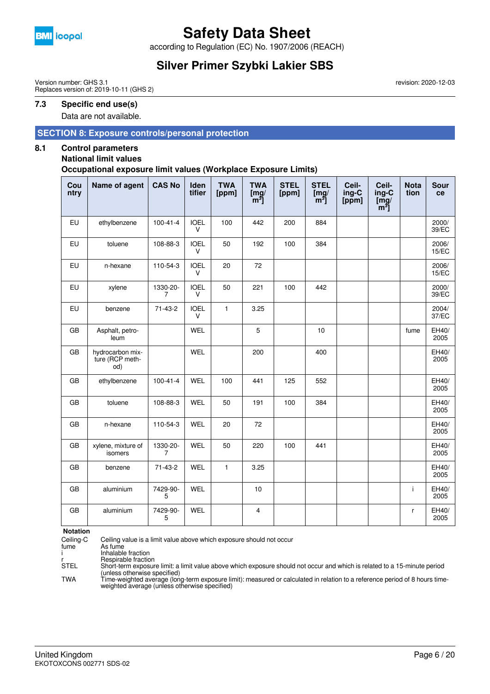

according to Regulation (EC) No. 1907/2006 (REACH)

## **Silver Primer Szybki Lakier SBS**

Version number: GHS 3.1 Replaces version of: 2019-10-11 (GHS 2)

#### **7.3 Specific end use(s)**

Data are not available.

#### **SECTION 8: Exposure controls/personal protection**

#### **8.1 Control parameters**

#### **National limit values**

**Occupational exposure limit values (Workplace Exposure Limits)**

| Cou<br>ntry | Name of agent                              | <b>CAS No</b>              | Iden<br>tifier        | <b>TWA</b><br>[ppm] | <b>TWA</b><br>$\begin{bmatrix} m g / m^3 \end{bmatrix}$ | <b>STEL</b><br>[ppm] | <b>STEL</b><br>$\begin{bmatrix} m g / m^3 \end{bmatrix}$ | Ceil-<br>ing-C<br>[ppm] | Ceil-<br>ing-C<br>$\overline{\text{[mg]}}$<br>$[m^3]$ | <b>Nota</b><br>tion | <b>Sour</b><br>ce |
|-------------|--------------------------------------------|----------------------------|-----------------------|---------------------|---------------------------------------------------------|----------------------|----------------------------------------------------------|-------------------------|-------------------------------------------------------|---------------------|-------------------|
| EU          | ethylbenzene                               | $100 - 41 - 4$             | <b>IOEL</b><br>$\vee$ | 100                 | 442                                                     | 200                  | 884                                                      |                         |                                                       |                     | 2000/<br>39/EC    |
| EU          | toluene                                    | 108-88-3                   | <b>IOEL</b><br>$\vee$ | 50                  | 192                                                     | 100                  | 384                                                      |                         |                                                       |                     | 2006/<br>15/EC    |
| EU          | n-hexane                                   | 110-54-3                   | <b>IOEL</b><br>V      | 20                  | 72                                                      |                      |                                                          |                         |                                                       |                     | 2006/<br>15/EC    |
| EU          | xylene                                     | 1330-20-<br>$\overline{7}$ | <b>IOEL</b><br>$\vee$ | 50                  | 221                                                     | 100                  | 442                                                      |                         |                                                       |                     | 2000/<br>39/EC    |
| EU          | benzene                                    | $71-43-2$                  | <b>IOEL</b><br>V      | $\mathbf{1}$        | 3.25                                                    |                      |                                                          |                         |                                                       |                     | 2004/<br>37/EC    |
| GB          | Asphalt, petro-<br>leum                    |                            | WEL                   |                     | $\overline{5}$                                          |                      | 10                                                       |                         |                                                       | fume                | EH40/<br>2005     |
| <b>GB</b>   | hydrocarbon mix-<br>ture (RCP meth-<br>od) |                            | <b>WEL</b>            |                     | 200                                                     |                      | 400                                                      |                         |                                                       |                     | EH40/<br>2005     |
| GB          | ethylbenzene                               | $100 - 41 - 4$             | <b>WEL</b>            | 100                 | 441                                                     | 125                  | 552                                                      |                         |                                                       |                     | EH40/<br>2005     |
| GB          | toluene                                    | 108-88-3                   | WEL                   | 50                  | 191                                                     | 100                  | 384                                                      |                         |                                                       |                     | EH40/<br>2005     |
| GB          | n-hexane                                   | 110-54-3                   | <b>WEL</b>            | 20                  | 72                                                      |                      |                                                          |                         |                                                       |                     | EH40/<br>2005     |
| GB          | xylene, mixture of<br>isomers              | 1330-20-<br>7              | WEL                   | 50                  | 220                                                     | 100                  | 441                                                      |                         |                                                       |                     | EH40/<br>2005     |
| GB          | benzene                                    | 71-43-2                    | <b>WEL</b>            | $\mathbf{1}$        | 3.25                                                    |                      |                                                          |                         |                                                       |                     | EH40/<br>2005     |
| <b>GB</b>   | aluminium                                  | 7429-90-<br>5              | <b>WEL</b>            |                     | 10                                                      |                      |                                                          |                         |                                                       | i.                  | EH40/<br>2005     |
| GB          | aluminium                                  | 7429-90-<br>5              | WEL                   |                     | $\overline{\mathbf{4}}$                                 |                      |                                                          |                         |                                                       | r                   | EH40/<br>2005     |

**Notation**<br>Ceiling-C

Ceiling-C Ceiling value is a limit value above which exposure should not occur

fume As fume

i Inhalable fraction

r Respirable fraction<br>STEL Short-term exposur

Short-term exposure limit: a limit value above which exposure should not occur and which is related to a 15-minute period (unless otherwise specified)

TWA Time-weighted average (long-term exposure limit): measured or calculated in relation to a reference period of 8 hours time-weighted average (unless otherwise specified)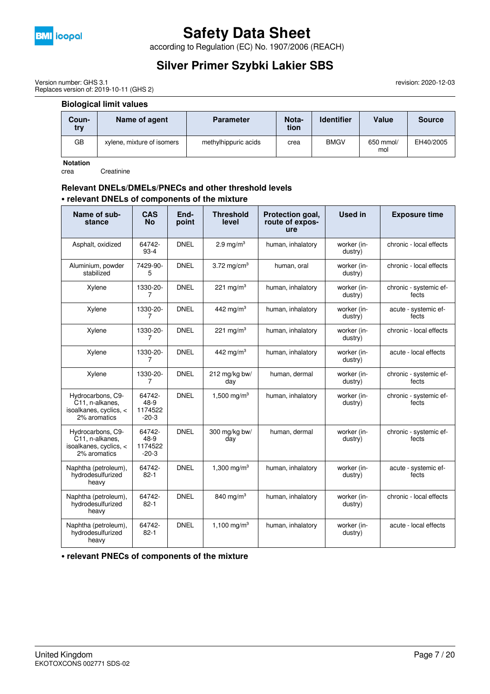

according to Regulation (EC) No. 1907/2006 (REACH)

## **Silver Primer Szybki Lakier SBS**

revision: 2020-12-03

Version number: GHS 3.1 Replaces version of: 2019-10-11 (GHS 2)

#### **Biological limit values**

| Coun-<br>try | Name of agent              | <b>Parameter</b>     | Nota-<br>tion | <b>Identifier</b> | Value            | <b>Source</b> |
|--------------|----------------------------|----------------------|---------------|-------------------|------------------|---------------|
| GВ           | xylene, mixture of isomers | methylhippuric acids | crea          | <b>BMGV</b>       | 650 mmol/<br>mol | EH40/2005     |

**Notation**

crea Creatinine

#### **Relevant DNELs/DMELs/PNECs and other threshold levels • relevant DNELs of components of the mixture**

| Name of sub-<br>stance                                                         | CAS<br><b>No</b>                     | End-<br>point | <b>Threshold</b><br>level | Protection goal,<br>route of expos-<br>ure | <b>Used in</b>         | <b>Exposure time</b>            |
|--------------------------------------------------------------------------------|--------------------------------------|---------------|---------------------------|--------------------------------------------|------------------------|---------------------------------|
| Asphalt, oxidized                                                              | 64742-<br>$93-4$                     | <b>DNEL</b>   | 2.9 mg/ $m3$              | human, inhalatory                          | worker (in-<br>dustry) | chronic - local effects         |
| Aluminium, powder<br>stabilized                                                | 7429-90-<br>5                        | <b>DNEL</b>   | 3.72 mg/cm <sup>3</sup>   | human, oral                                | worker (in-<br>dustry) | chronic - local effects         |
| Xylene                                                                         | 1330-20-<br>7                        | <b>DNEL</b>   | 221 mg/m <sup>3</sup>     | human, inhalatory                          | worker (in-<br>dustry) | chronic - systemic ef-<br>fects |
| Xylene                                                                         | 1330-20-<br>7                        | <b>DNEL</b>   | 442 mg/m <sup>3</sup>     | human, inhalatory                          | worker (in-<br>dustry) | acute - systemic ef-<br>fects   |
| Xylene                                                                         | 1330-20-<br>7                        | <b>DNEL</b>   | 221 mg/m <sup>3</sup>     | human, inhalatory                          | worker (in-<br>dustry) | chronic - local effects         |
| Xylene                                                                         | 1330-20-<br>7                        | <b>DNEL</b>   | 442 mg/m <sup>3</sup>     | human, inhalatory                          | worker (in-<br>dustry) | acute - local effects           |
| Xylene                                                                         | 1330-20-<br>7                        | <b>DNEL</b>   | 212 mg/kg bw/<br>day      | human, dermal                              | worker (in-<br>dustry) | chronic - systemic ef-<br>fects |
| Hydrocarbons, C9-<br>C11, n-alkanes,<br>isoalkanes, cyclics, <<br>2% aromatics | 64742-<br>48-9<br>1174522<br>$-20-3$ | <b>DNEL</b>   | 1,500 mg/m <sup>3</sup>   | human, inhalatory                          | worker (in-<br>dustry) | chronic - systemic ef-<br>fects |
| Hydrocarbons, C9-<br>C11, n-alkanes,<br>isoalkanes, cyclics, <<br>2% aromatics | 64742-<br>48-9<br>1174522<br>$-20-3$ | <b>DNEL</b>   | 300 mg/kg bw/<br>day      | human, dermal                              | worker (in-<br>dustry) | chronic - systemic ef-<br>fects |
| Naphtha (petroleum),<br>hydrodesulfurized<br>heavy                             | 64742-<br>$82 - 1$                   | <b>DNEL</b>   | 1,300 mg/m <sup>3</sup>   | human, inhalatory                          | worker (in-<br>dustry) | acute - systemic ef-<br>fects   |
| Naphtha (petroleum),<br>hydrodesulfurized<br>heavy                             | 64742-<br>$82 - 1$                   | <b>DNEL</b>   | 840 mg/m $3$              | human, inhalatory                          | worker (in-<br>dustry) | chronic - local effects         |
| Naphtha (petroleum),<br>hydrodesulfurized<br>heavy                             | 64742-<br>$82 - 1$                   | <b>DNEL</b>   | 1,100 mg/m <sup>3</sup>   | human, inhalatory                          | worker (in-<br>dustry) | acute - local effects           |

**• relevant PNECs of components of the mixture**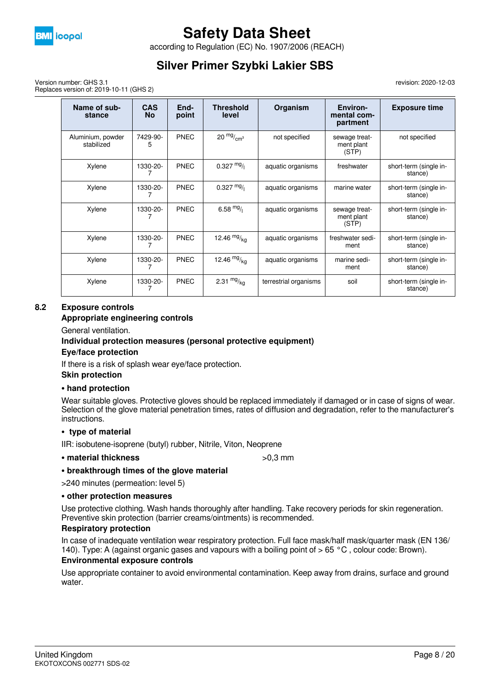

according to Regulation (EC) No. 1907/2006 (REACH)

## **Silver Primer Szybki Lakier SBS**

Version number: GHS 3.1 Replaces version of: 2019-10-11 (GHS 2) revision: 2020-12-03

| Name of sub-<br>stance          | <b>CAS</b><br><b>No</b> | End-<br>point | <b>Threshold</b><br>level | Organism              | Environ-<br>mental com-<br>partment  | <b>Exposure time</b>              |
|---------------------------------|-------------------------|---------------|---------------------------|-----------------------|--------------------------------------|-----------------------------------|
| Aluminium, powder<br>stabilized | 7429-90-<br>5           | PNEC          | $20 \frac{mg}{cm^3}$      | not specified         | sewage treat-<br>ment plant<br>(STP) | not specified                     |
| Xylene                          | 1330-20-                | <b>PNEC</b>   | $0.327 \text{ mg}$        | aquatic organisms     | freshwater                           | short-term (single in-<br>stance) |
| Xylene                          | 1330-20-                | <b>PNEC</b>   | $0.327 \frac{mg}{l}$      | aquatic organisms     | marine water                         | short-term (single in-<br>stance) |
| Xylene                          | 1330-20-                | <b>PNEC</b>   | 6.58 $mg/1$               | aquatic organisms     | sewage treat-<br>ment plant<br>(STP) | short-term (single in-<br>stance) |
| Xylene                          | 1330-20-                | <b>PNEC</b>   | 12.46 $mg/kq$             | aquatic organisms     | freshwater sedi-<br>ment             | short-term (single in-<br>stance) |
| Xylene                          | 1330-20-                | <b>PNEC</b>   | 12.46 $mg/kq$             | aquatic organisms     | marine sedi-<br>ment                 | short-term (single in-<br>stance) |
| Xylene                          | 1330-20-                | <b>PNEC</b>   | 2.31 $mg/kq$              | terrestrial organisms | soil                                 | short-term (single in-<br>stance) |

#### **8.2 Exposure controls**

#### **Appropriate engineering controls**

General ventilation.

# **Individual protection measures (personal protective equipment)**

### **Eye/face protection**

If there is a risk of splash wear eye/face protection.

#### **Skin protection**

#### **• hand protection**

Wear suitable gloves. Protective gloves should be replaced immediately if damaged or in case of signs of wear. Selection of the glove material penetration times, rates of diffusion and degradation, refer to the manufacturer's instructions.

#### **• type of material**

IIR: isobutene-isoprene (butyl) rubber, Nitrile, Viton, Neoprene

### • material thickness  $>0.3$  mm

#### **• breakthrough times of the glove material**

>240 minutes (permeation: level 5)

#### **• other protection measures**

Use protective clothing. Wash hands thoroughly after handling. Take recovery periods for skin regeneration. Preventive skin protection (barrier creams/ointments) is recommended.

#### **Respiratory protection**

In case of inadequate ventilation wear respiratory protection. Full face mask/half mask/quarter mask (EN 136/ 140). Type: A (against organic gases and vapours with a boiling point of > 65 °C , colour code: Brown).

#### **Environmental exposure controls**

Use appropriate container to avoid environmental contamination. Keep away from drains, surface and ground water.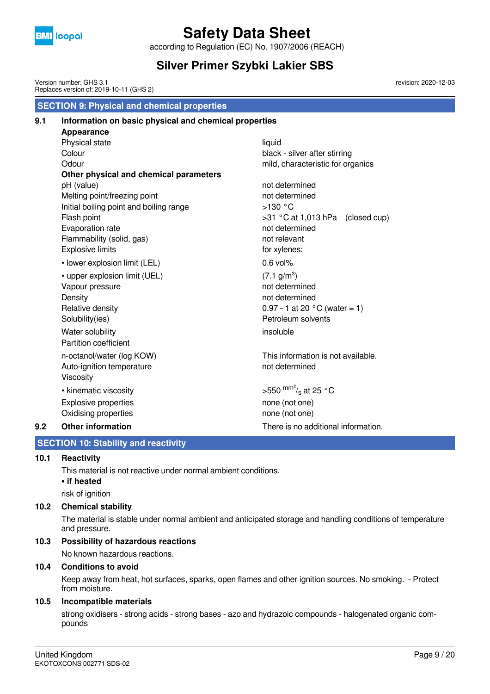

according to Regulation (EC) No. 1907/2006 (REACH)

## **Silver Primer Szybki Lakier SBS**

revision: 2020-12-03

 **SECTION 9: Physical and chemical properties** Version number: GHS 3.1 Replaces version of: 2019-10-11 (GHS 2)

### **9.1 Information on basic physical and chemical properties Appearance** Physical state liquid Colour **black - silver after stirring** Odour **contract of the contract of the contract of the contract of the contract of the contract of the contract of the contract of the contract of the contract of the contract of the contract of the contract of the contrac Other physical and chemical parameters** pH (value) not determined Melting point/freezing point not determined Initial boiling point and boiling range  $>130$  °C Flash point  $>31 °C$  at 1,013 hPa (closed cup) Evaporation rate not determined Flammability (solid, gas) not relevant Explosive limits **for xylenes**: • lower explosion limit (LEL) 0.6 vol% • upper explosion limit (UEL)  $(7.1 \text{ g/m}^3)$ Vapour pressure not determined Density **Density not determined** Relative density  $0.97 - 1$  at 20  $^{\circ}$ C (water = 1) Solubility(ies) **Petroleum solvents** Water solubility insoluble Partition coefficient n-octanol/water (log KOW) This information is not available. Auto-ignition temperature not determined Viscosity • kinematic viscosity >550  $\text{mm}^2$ /<sub>s</sub> at 25 °C Explosive properties none (not one) Oxidising properties none (not one)

#### **9.2 Other information** There is no additional information.

### **SECTION 10: Stability and reactivity**

#### **10.1 Reactivity**

This material is not reactive under normal ambient conditions.

#### **• if heated**

risk of ignition

#### **10.2 Chemical stability**

The material is stable under normal ambient and anticipated storage and handling conditions of temperature and pressure.

#### **10.3 Possibility of hazardous reactions**

No known hazardous reactions.

#### **10.4 Conditions to avoid**

Keep away from heat, hot surfaces, sparks, open flames and other ignition sources. No smoking. - Protect from moisture.

#### **10.5 Incompatible materials**

strong oxidisers - strong acids - strong bases - azo and hydrazoic compounds - halogenated organic compounds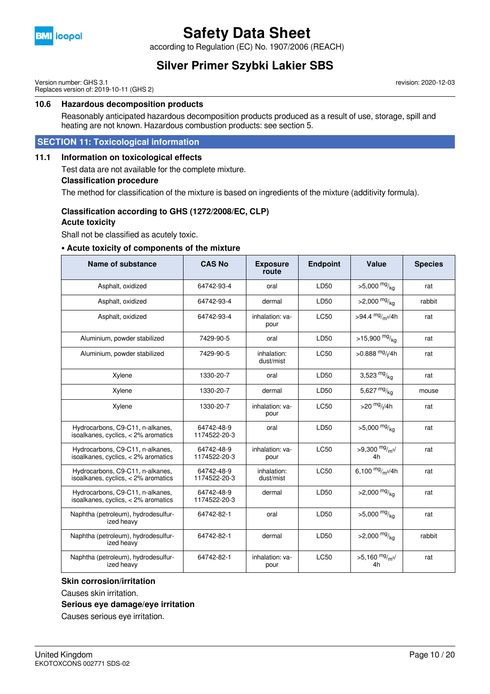

according to Regulation (EC) No. 1907/2006 (REACH)

### **Silver Primer Szybki Lakier SBS**

Version number: GHS 3.1 Replaces version of: 2019-10-11 (GHS 2) revision: 2020-12-03

#### **10.6 Hazardous decomposition products**

Reasonably anticipated hazardous decomposition products produced as a result of use, storage, spill and heating are not known. Hazardous combustion products: see section 5.

#### **SECTION 11: Toxicological information**

#### **11.1 Information on toxicological effects**

Test data are not available for the complete mixture.

#### **Classification procedure**

The method for classification of the mixture is based on ingredients of the mixture (additivity formula).

### **Classification according to GHS (1272/2008/EC, CLP)**

#### **Acute toxicity**

Shall not be classified as acutely toxic.

#### **• Acute toxicity of components of the mixture**

| Name of substance                                                         | <b>CAS No</b>              | <b>Exposure</b><br>route | <b>Endpoint</b> | Value                                     | <b>Species</b> |
|---------------------------------------------------------------------------|----------------------------|--------------------------|-----------------|-------------------------------------------|----------------|
| Asphalt, oxidized                                                         | 64742-93-4                 | oral                     | LD50            | $>5,000$ mg/ <sub>ka</sub>                | rat            |
| Asphalt, oxidized                                                         | 64742-93-4                 | dermal                   | LD50            | $>2,000$ mg/ <sub>ka</sub>                | rabbit         |
| Asphalt, oxidized                                                         | 64742-93-4                 | inhalation: va-<br>pour  | <b>LC50</b>     | >94.4 $mg/m^{3}/4h$                       | rat            |
| Aluminium, powder stabilized                                              | 7429-90-5                  | oral                     | LD50            | >15,900 $mg/_{ka}$                        | rat            |
| Aluminium, powder stabilized                                              | 7429-90-5                  | inhalation:<br>dust/mist | <b>LC50</b>     | $>0.888$ <sup>mg</sup> / <sub>l</sub> /4h | rat            |
| Xylene                                                                    | 1330-20-7                  | oral                     | LD50            | 3,523 $mg/kq$                             | rat            |
| Xylene                                                                    | 1330-20-7                  | dermal                   | LD50            | 5,627 $mg/kq$                             | mouse          |
| Xylene                                                                    | 1330-20-7                  | inhalation: va-<br>pour  | <b>LC50</b>     | $>$ 20 $mg$ //4h                          | rat            |
| Hydrocarbons, C9-C11, n-alkanes,<br>isoalkanes, cyclics, $<$ 2% aromatics | 64742-48-9<br>1174522-20-3 | oral                     | LD50            | $>5,000$ mg/ <sub>ka</sub>                | rat            |
| Hydrocarbons, C9-C11, n-alkanes,<br>isoalkanes, cyclics, $<$ 2% aromatics | 64742-48-9<br>1174522-20-3 | inhalation: va-<br>pour  | <b>LC50</b>     | >9,300 $mg/m3/$<br>4h                     | rat            |
| Hydrocarbons, C9-C11, n-alkanes,<br>isoalkanes, cyclics, $<$ 2% aromatics | 64742-48-9<br>1174522-20-3 | inhalation:<br>dust/mist | <b>LC50</b>     | 6,100 $mg/m^3/4h$                         | rat            |
| Hydrocarbons, C9-C11, n-alkanes,<br>isoalkanes, cyclics, $<$ 2% aromatics | 64742-48-9<br>1174522-20-3 | dermal                   | LD50            | $>2,000$ mg/ <sub>ka</sub>                | rat            |
| Naphtha (petroleum), hydrodesulfur-<br>ized heavy                         | 64742-82-1                 | oral                     | LD50            | $>5,000$ mg/ <sub>ka</sub>                | rat            |
| Naphtha (petroleum), hydrodesulfur-<br>ized heavy                         | 64742-82-1                 | dermal                   | LD50            | $>2,000$ mg/ <sub>kg</sub>                | rabbit         |
| Naphtha (petroleum), hydrodesulfur-<br>ized heavy                         | 64742-82-1                 | inhalation: va-<br>pour  | <b>LC50</b>     | $>5,160$ mg/m <sup>3</sup> /<br>4h        | rat            |

#### **Skin corrosion/irritation**

Causes skin irritation.

#### **Serious eye damage/eye irritation**

Causes serious eye irritation.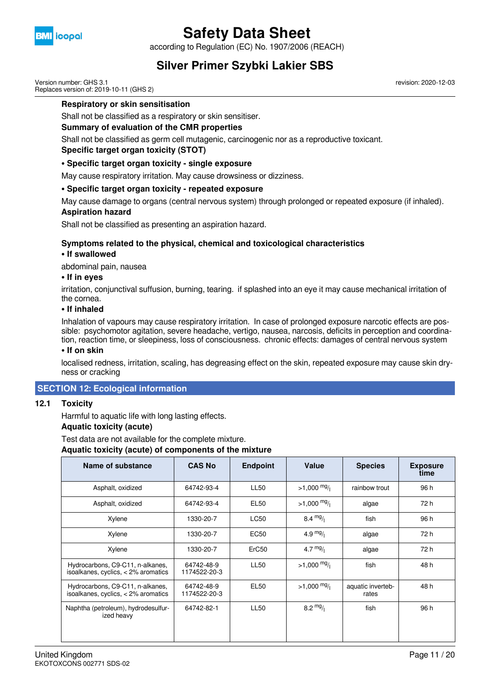

according to Regulation (EC) No. 1907/2006 (REACH)

### **Silver Primer Szybki Lakier SBS**

Version number: GHS 3.1 Replaces version of: 2019-10-11 (GHS 2)

**Respiratory or skin sensitisation**

Shall not be classified as a respiratory or skin sensitiser.

#### **Summary of evaluation of the CMR properties**

Shall not be classified as germ cell mutagenic, carcinogenic nor as a reproductive toxicant.

#### **Specific target organ toxicity (STOT)**

#### **• Specific target organ toxicity - single exposure**

May cause respiratory irritation. May cause drowsiness or dizziness.

#### **• Specific target organ toxicity - repeated exposure**

May cause damage to organs (central nervous system) through prolonged or repeated exposure (if inhaled).

### **Aspiration hazard**

Shall not be classified as presenting an aspiration hazard.

#### **Symptoms related to the physical, chemical and toxicological characteristics**

#### **• If swallowed**

abdominal pain, nausea

#### **• If in eyes**

irritation, conjunctival suffusion, burning, tearing. if splashed into an eye it may cause mechanical irritation of the cornea.

#### **• If inhaled**

Inhalation of vapours may cause respiratory irritation. In case of prolonged exposure narcotic effects are possible: psychomotor agitation, severe headache, vertigo, nausea, narcosis, deficits in perception and coordination, reaction time, or sleepiness, loss of consciousness. chronic effects: damages of central nervous system

#### **• If on skin**

localised redness, irritation, scaling, has degreasing effect on the skin, repeated exposure may cause skin dryness or cracking

#### **SECTION 12: Ecological information**

#### **12.1 Toxicity**

Harmful to aquatic life with long lasting effects.

#### **Aquatic toxicity (acute)**

Test data are not available for the complete mixture.

**Aquatic toxicity (acute) of components of the mixture**

| Name of substance                                                         | <b>CAS No</b>              | <b>Endpoint</b> | Value                 | <b>Species</b>             | <b>Exposure</b><br>time |
|---------------------------------------------------------------------------|----------------------------|-----------------|-----------------------|----------------------------|-------------------------|
| Asphalt, oxidized                                                         | 64742-93-4                 | <b>LL50</b>     | $>1,000$ mg/          | rainbow trout              | 96 h                    |
| Asphalt, oxidized                                                         | 64742-93-4                 | EL50            | $>1,000 \frac{mg}{l}$ | algae                      | 72 h                    |
| Xylene                                                                    | 1330-20-7                  | <b>LC50</b>     | $8.4 \frac{mg}{l}$    | fish                       | 96 h                    |
| Xylene                                                                    | 1330-20-7                  | <b>EC50</b>     | 4.9 $mg/1$            | algae                      | 72 h                    |
| Xylene                                                                    | 1330-20-7                  | ErC50           | 4.7 $mg/1$            | algae                      | 72 h                    |
| Hydrocarbons, C9-C11, n-alkanes,<br>isoalkanes, cyclics, < 2% aromatics   | 64742-48-9<br>1174522-20-3 | <b>LL50</b>     | $>1,000$ mg/          | fish                       | 48 h                    |
| Hydrocarbons, C9-C11, n-alkanes,<br>isoalkanes, cyclics, $<$ 2% aromatics | 64742-48-9<br>1174522-20-3 | <b>EL50</b>     | $>1,000 \frac{mg}{l}$ | aquatic inverteb-<br>rates | 48 h                    |
| Naphtha (petroleum), hydrodesulfur-<br>ized heavy                         | 64742-82-1                 | <b>LL50</b>     | $8.2 \frac{mg}{l}$    | fish                       | 96 h                    |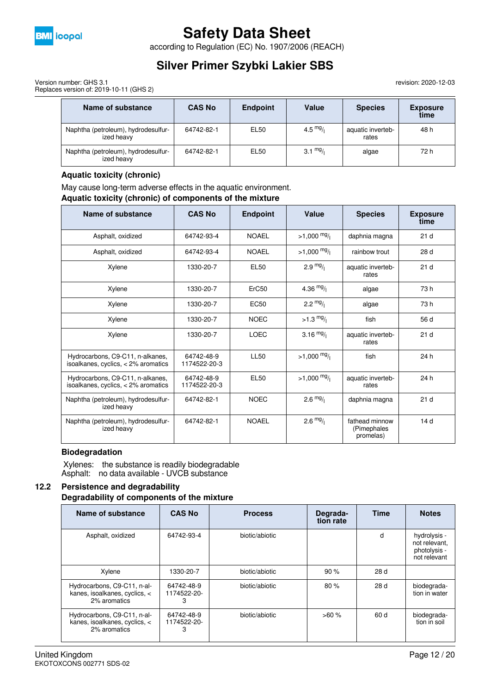

according to Regulation (EC) No. 1907/2006 (REACH)

## **Silver Primer Szybki Lakier SBS**

Version number: GHS 3.1 Replaces version of: 2019-10-11 (GHS 2)

> **Name of substance CAS No Endpoint Value Species Exposure time** Naphtha (petroleum), hydrodesulfurized heavy 64742-82-1 **EL50 4.5**  $mg/$  aquatic invertebrates 48 h Naphtha (petroleum), hydrodesulfurized heavy 64742-82-1 | EL50 |  $3.1 \text{ mg}$ | algae |  $72 \text{ h}$

#### **Aquatic toxicity (chronic)**

May cause long-term adverse effects in the aquatic environment.

**Aquatic toxicity (chronic) of components of the mixture**

| Name of substance                                                         | <b>CAS No</b>              | <b>Endpoint</b> | Value                 | <b>Species</b>                             | <b>Exposure</b><br>time |
|---------------------------------------------------------------------------|----------------------------|-----------------|-----------------------|--------------------------------------------|-------------------------|
| Asphalt, oxidized                                                         | 64742-93-4                 | <b>NOAEL</b>    | $>1,000$ mg/          | daphnia magna                              | 21 <sub>d</sub>         |
| Asphalt, oxidized                                                         | 64742-93-4                 | <b>NOAEL</b>    | $>1,000 \frac{mg}{l}$ | rainbow trout                              | 28 <sub>d</sub>         |
| Xylene                                                                    | 1330-20-7                  | <b>EL50</b>     | $2.9 \frac{mg}{l}$    | aquatic inverteb-<br>rates                 | 21 <sub>d</sub>         |
| Xylene                                                                    | 1330-20-7                  | ErC50           | 4.36 $mg/1$           | algae                                      | 73 h                    |
| Xylene                                                                    | 1330-20-7                  | <b>EC50</b>     | 2.2 $mg/1$            | algae                                      | 73 h                    |
| Xylene                                                                    | 1330-20-7                  | <b>NOEC</b>     | $>1.3 \frac{mg}{l}$   | fish                                       | 56 d                    |
| Xylene                                                                    | 1330-20-7                  | <b>LOEC</b>     | 3.16 $mg/1$           | aquatic inverteb-<br>rates                 | 21 <sub>d</sub>         |
| Hydrocarbons, C9-C11, n-alkanes,<br>isoalkanes, cyclics, < 2% aromatics   | 64742-48-9<br>1174522-20-3 | <b>LL50</b>     | $>1,000$ mg/          | fish                                       | 24 h                    |
| Hydrocarbons, C9-C11, n-alkanes,<br>isoalkanes, cyclics, $<$ 2% aromatics | 64742-48-9<br>1174522-20-3 | EL50            | $>1,000$ mg/          | aquatic inverteb-<br>rates                 | 24 h                    |
| Naphtha (petroleum), hydrodesulfur-<br>ized heavy                         | 64742-82-1                 | <b>NOEC</b>     | $2.6 \frac{mg}{l}$    | daphnia magna                              | 21 <sub>d</sub>         |
| Naphtha (petroleum), hydrodesulfur-<br>ized heavy                         | 64742-82-1                 | <b>NOAEL</b>    | $2.6 \frac{mg}{l}$    | fathead minnow<br>(Pimephales<br>promelas) | 14 <sub>d</sub>         |

#### **Biodegradation**

 Xylenes: the substance is readily biodegradable Asphalt: no data available - UVCB substance

#### **12.2 Persistence and degradability Degradability of components of the mixture**

| Name of substance                                                            | <b>CAS No</b>                  | <b>Process</b> | Degrada-<br>tion rate | <b>Time</b> | <b>Notes</b>                                                  |
|------------------------------------------------------------------------------|--------------------------------|----------------|-----------------------|-------------|---------------------------------------------------------------|
| Asphalt, oxidized                                                            | 64742-93-4                     | biotic/abiotic |                       | d           | hydrolysis -<br>not relevant.<br>photolysis -<br>not relevant |
| Xylene                                                                       | 1330-20-7                      | biotic/abiotic | 90%                   | 28 d        |                                                               |
| Hydrocarbons, C9-C11, n-al-<br>kanes, isoalkanes, cyclics, <<br>2% aromatics | 64742-48-9<br>1174522-20-<br>3 | biotic/abiotic | 80%                   | 28d         | biodegrada-<br>tion in water                                  |
| Hydrocarbons, C9-C11, n-al-<br>kanes, isoalkanes, cyclics, <<br>2% aromatics | 64742-48-9<br>1174522-20-<br>3 | biotic/abiotic | >60%                  | 60 d        | biodegrada-<br>tion in soil                                   |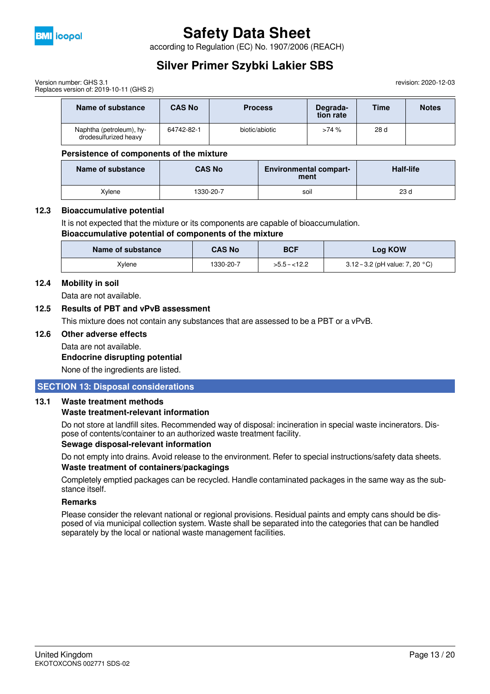

according to Regulation (EC) No. 1907/2006 (REACH)

## **Silver Primer Szybki Lakier SBS**

revision: 2020-12-03

Version number: GHS 3.1 Replaces version of: 2019-10-11 (GHS 2)

| Name of substance                                 | <b>CAS No</b> | <b>Process</b> | Degrada-<br>tion rate | Time | <b>Notes</b> |
|---------------------------------------------------|---------------|----------------|-----------------------|------|--------------|
| Naphtha (petroleum), hy-<br>drodesulfurized heavy | 64742-82-1    | biotic/abiotic | >74%                  | 28d  |              |

#### **Persistence of components of the mixture**

| Name of substance | <b>CAS No</b> | <b>Environmental compart-</b><br>ment | <b>Half-life</b> |
|-------------------|---------------|---------------------------------------|------------------|
| Xvlene            | 1330-20-7     | soil                                  | 23 <sub>d</sub>  |

#### **12.3 Bioaccumulative potential**

It is not expected that the mixture or its components are capable of bioaccumulation.

#### **Bioaccumulative potential of components of the mixture**

| Name of substance | <b>CAS No</b> | <b>BCF</b>    | <b>Log KOW</b>                            |
|-------------------|---------------|---------------|-------------------------------------------|
| Xylene            | 1330-20-7     | $>5.5 - 12.2$ | 3.12 – 3.2 (pH value: 7, 20 $^{\circ}$ C) |

#### **12.4 Mobility in soil**

Data are not available.

#### **12.5 Results of PBT and vPvB assessment**

This mixture does not contain any substances that are assessed to be a PBT or a vPvB.

#### **12.6 Other adverse effects**

Data are not available. **Endocrine disrupting potential**

None of the ingredients are listed.

#### **SECTION 13: Disposal considerations**

#### **13.1 Waste treatment methods**

#### **Waste treatment-relevant information**

Do not store at landfill sites. Recommended way of disposal: incineration in special waste incinerators. Dispose of contents/container to an authorized waste treatment facility.

#### **Sewage disposal-relevant information**

Do not empty into drains. Avoid release to the environment. Refer to special instructions/safety data sheets. **Waste treatment of containers/packagings**

Completely emptied packages can be recycled. Handle contaminated packages in the same way as the substance itself.

#### **Remarks**

Please consider the relevant national or regional provisions. Residual paints and empty cans should be disposed of via municipal collection system. Waste shall be separated into the categories that can be handled separately by the local or national waste management facilities.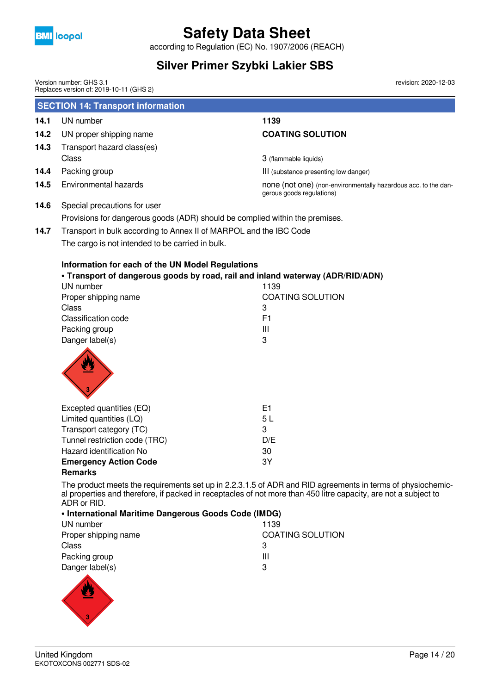

according to Regulation (EC) No. 1907/2006 (REACH)

## **Silver Primer Szybki Lakier SBS**

Version number: GHS 3.1

revision: 2020-12-03

|      | Replaces version of: 2019-10-11 (GHS 2)                                                                                                                                                                                                     |                                                                                             |
|------|---------------------------------------------------------------------------------------------------------------------------------------------------------------------------------------------------------------------------------------------|---------------------------------------------------------------------------------------------|
|      | <b>SECTION 14: Transport information</b>                                                                                                                                                                                                    |                                                                                             |
| 14.1 | UN number                                                                                                                                                                                                                                   | 1139                                                                                        |
| 14.2 | UN proper shipping name                                                                                                                                                                                                                     | <b>COATING SOLUTION</b>                                                                     |
| 14.3 | Transport hazard class(es)                                                                                                                                                                                                                  |                                                                                             |
|      | Class                                                                                                                                                                                                                                       | 3 (flammable liquids)                                                                       |
| 14.4 | Packing group                                                                                                                                                                                                                               | III (substance presenting low danger)                                                       |
| 14.5 | Environmental hazards                                                                                                                                                                                                                       | none (not one) (non-environmentally hazardous acc. to the dan-<br>gerous goods regulations) |
| 14.6 | Special precautions for user                                                                                                                                                                                                                |                                                                                             |
|      | Provisions for dangerous goods (ADR) should be complied within the premises.                                                                                                                                                                |                                                                                             |
| 14.7 | Transport in bulk according to Annex II of MARPOL and the IBC Code                                                                                                                                                                          |                                                                                             |
|      | The cargo is not intended to be carried in bulk.                                                                                                                                                                                            |                                                                                             |
|      | Information for each of the UN Model Regulations<br>. Transport of dangerous goods by road, rail and inland waterway (ADR/RID/ADN)<br>UN number<br>Proper shipping name<br>Class<br>Classification code<br>Packing group<br>Danger label(s) | 1139<br><b>COATING SOLUTION</b><br>3<br>F <sub>1</sub><br>III<br>3                          |
|      | Excepted quantities (EQ)<br>Limited quantities (LQ)<br>Transport category (TC)<br>Tunnel restriction code (TRC)                                                                                                                             | E1<br>5L<br>3<br>D/E                                                                        |
|      | Hazard identification No                                                                                                                                                                                                                    | 30                                                                                          |

**Emergency Action Code** 3Y

#### **Remarks**

The product meets the requirements set up in 2.2.3.1.5 of ADR and RID agreements in terms of physiochemical properties and therefore, if packed in receptacles of not more than 450 litre capacity, are not a subject to ADR or RID.<br> **Alpternational Meritime** 

| • International Maritime Dangerous Goods Code (IMDG) |                         |  |  |  |
|------------------------------------------------------|-------------------------|--|--|--|
| UN number                                            | 1139                    |  |  |  |
| Proper shipping name                                 | <b>COATING SOLUTION</b> |  |  |  |
| Class                                                | з                       |  |  |  |
| Packing group                                        | Ш                       |  |  |  |
| Danger label(s)                                      | З                       |  |  |  |
|                                                      |                         |  |  |  |

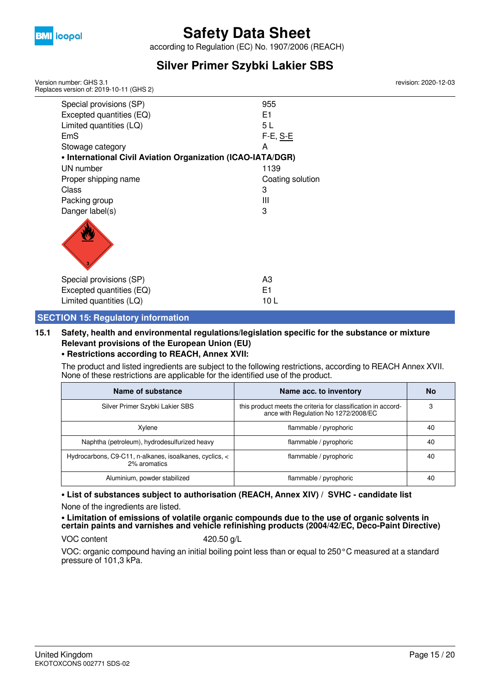

according to Regulation (EC) No. 1907/2006 (REACH)

## **Silver Primer Szybki Lakier SBS**

Version number: GHS 3.1 Replaces version of: 2019-10-11 (GHS 2)

| Special provisions (SP)                                     | 955              |
|-------------------------------------------------------------|------------------|
| Excepted quantities (EQ)                                    | E1               |
| Limited quantities (LQ)                                     | 5 L              |
| EmS                                                         | F-E, S-E         |
| Stowage category                                            | А                |
| • International Civil Aviation Organization (ICAO-IATA/DGR) |                  |
| UN number                                                   | 1139             |
| Proper shipping name                                        | Coating solution |
| Class                                                       | 3                |
| Packing group                                               | Ш                |
| Danger label(s)                                             | 3                |
|                                                             |                  |
| Special provisions (SP)                                     | A3               |
| Excepted quantities (EQ)                                    | E1               |
| Limited quantities (LQ)                                     | 10 L             |

#### **SECTION 15: Regulatory information**

### **15.1 Safety, health and environmental regulations/legislation specific for the substance or mixture Relevant provisions of the European Union (EU)**

#### **• Restrictions according to REACH, Annex XVII:**

The product and listed ingredients are subject to the following restrictions, according to REACH Annex XVII. None of these restrictions are applicable for the identified use of the product.

| Name of substance                                                       | Name acc. to inventory                                                                                | No |
|-------------------------------------------------------------------------|-------------------------------------------------------------------------------------------------------|----|
| Silver Primer Szybki Lakier SBS                                         | this product meets the criteria for classification in accord-<br>ance with Regulation No 1272/2008/EC | 3  |
| Xylene                                                                  | flammable / pyrophoric                                                                                | 40 |
| Naphtha (petroleum), hydrodesulfurized heavy                            | flammable / pyrophoric                                                                                | 40 |
| Hydrocarbons, C9-C11, n-alkanes, isoalkanes, cyclics, <<br>2% aromatics | flammable / pyrophoric                                                                                | 40 |
| Aluminium, powder stabilized                                            | flammable / pyrophoric                                                                                | 40 |

**• List of substances subject to authorisation (REACH, Annex XIV) / SVHC - candidate list** None of the ingredients are listed.

**• Limitation of emissions of volatile organic compounds due to the use of organic solvents in certain paints and varnishes and vehicle refinishing products (2004/42/EC, Deco-Paint Directive)**

VOC content 420.50 g/L

VOC: organic compound having an initial boiling point less than or equal to 250°C measured at a standard pressure of 101,3 kPa.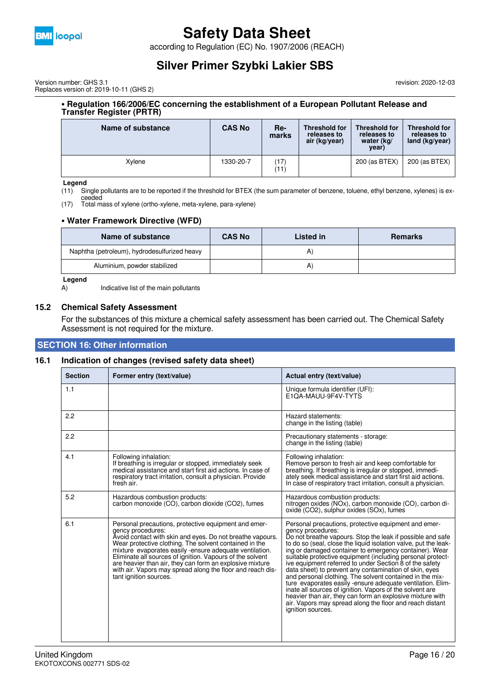

according to Regulation (EC) No. 1907/2006 (REACH)

### **Silver Primer Szybki Lakier SBS**

Version number: GHS 3.1 Replaces version of: 2019-10-11 (GHS 2) revision: 2020-12-03

#### **• Regulation 166/2006/EC concerning the establishment of a European Pollutant Release and Transfer Register (PRTR)**

| Name of substance | <b>CAS No</b> | Re-<br>marks | <b>Threshold for</b><br>releases to<br>air (kg/year) | <b>Threshold for</b><br>releases to<br>water (kg/<br>year) | <b>Threshold for</b><br>releases to<br>land $(kq/year)$ |
|-------------------|---------------|--------------|------------------------------------------------------|------------------------------------------------------------|---------------------------------------------------------|
| Xylene            | 1330-20-7     | 17)<br>(11)  |                                                      | 200 (as BTEX)                                              | 200 (as BTEX)                                           |

#### **Legend**

(11) Single pollutants are to be reported if the threshold for BTEX (the sum parameter of benzene, toluene, ethyl benzene, xylenes) is ex-

ceeded (17) Total mass of xylene (ortho-xylene, meta-xylene, para-xylene)

#### **• Water Framework Directive (WFD)**

| Name of substance                            | <b>CAS No</b> | Listed in | Remarks |
|----------------------------------------------|---------------|-----------|---------|
| Naphtha (petroleum), hydrodesulfurized heavy |               |           |         |
| Aluminium, powder stabilized                 |               | A.        |         |

#### **Legend**

A) Indicative list of the main pollutants

#### **15.2 Chemical Safety Assessment**

For the substances of this mixture a chemical safety assessment has been carried out. The Chemical Safety Assessment is not required for the mixture.

#### **SECTION 16: Other information**

#### **16.1 Indication of changes (revised safety data sheet)**

| <b>Section</b> | Former entry (text/value)                                                                                                                                                                                                                                                                                                                                                                                                                                                 | Actual entry (text/value)                                                                                                                                                                                                                                                                                                                                                                                                                                                                                                                                                                                                                                                                                                                                                                   |
|----------------|---------------------------------------------------------------------------------------------------------------------------------------------------------------------------------------------------------------------------------------------------------------------------------------------------------------------------------------------------------------------------------------------------------------------------------------------------------------------------|---------------------------------------------------------------------------------------------------------------------------------------------------------------------------------------------------------------------------------------------------------------------------------------------------------------------------------------------------------------------------------------------------------------------------------------------------------------------------------------------------------------------------------------------------------------------------------------------------------------------------------------------------------------------------------------------------------------------------------------------------------------------------------------------|
| 1.1            |                                                                                                                                                                                                                                                                                                                                                                                                                                                                           | Unique formula identifier (UFI):<br>E1OA-MAUU-9F4V-TYTS                                                                                                                                                                                                                                                                                                                                                                                                                                                                                                                                                                                                                                                                                                                                     |
| 2.2            |                                                                                                                                                                                                                                                                                                                                                                                                                                                                           | Hazard statements:<br>change in the listing (table)                                                                                                                                                                                                                                                                                                                                                                                                                                                                                                                                                                                                                                                                                                                                         |
| 2.2            |                                                                                                                                                                                                                                                                                                                                                                                                                                                                           | Precautionary statements - storage:<br>change in the listing (table)                                                                                                                                                                                                                                                                                                                                                                                                                                                                                                                                                                                                                                                                                                                        |
| 4.1            | Following inhalation:<br>If breathing is irregular or stopped, immediately seek<br>medical assistance and start first aid actions. In case of<br>respiratory tract irritation, consult a physician. Provide<br>fresh air.                                                                                                                                                                                                                                                 | Following inhalation:<br>Remove person to fresh air and keep comfortable for<br>breathing. If breathing is irregular or stopped, immedi-<br>ately seek medical assistance and start first aid actions.<br>In case of respiratory tract irritation, consult a physician.                                                                                                                                                                                                                                                                                                                                                                                                                                                                                                                     |
| 5.2            | Hazardous combustion products:<br>carbon monoxide (CO), carbon dioxide (CO2), fumes                                                                                                                                                                                                                                                                                                                                                                                       | Hazardous combustion products:<br>nitrogen oxides (NOx), carbon monoxide (CO), carbon di-<br>oxide (CO2), sulphur oxides (SOx), fumes                                                                                                                                                                                                                                                                                                                                                                                                                                                                                                                                                                                                                                                       |
| 6.1            | Personal precautions, protective equipment and emer-<br>gency procedures:<br>Avoid contact with skin and eyes. Do not breathe vapours.<br>Wear protective clothing. The solvent contained in the mixture evaporates easily -ensure adequate ventilation.<br>Eliminate all sources of ignition. Vapours of the solvent<br>are heavier than air, they can form an explosive mixture<br>with air. Vapors may spread along the floor and reach dis-<br>tant ignition sources. | Personal precautions, protective equipment and emer-<br>gency procedures:<br>Do not breathe vapours. Stop the leak if possible and safe<br>to do so (seal, close the liquid isolation valve, put the leak-<br>ing or damaged container to emergency container). Wear<br>suitable protective equipment (including personal protect-<br>ive equipment referred to under Section 8 of the safety<br>data sheet) to prevent any contamination of skin, eyes<br>and personal clothing. The solvent contained in the mix-<br>ture evaporates easily -ensure adequate ventilation. Elim-<br>inate all sources of ignition. Vapors of the solvent are<br>heavier than air, they can form an explosive mixture with<br>air. Vapors may spread along the floor and reach distant<br>ignition sources. |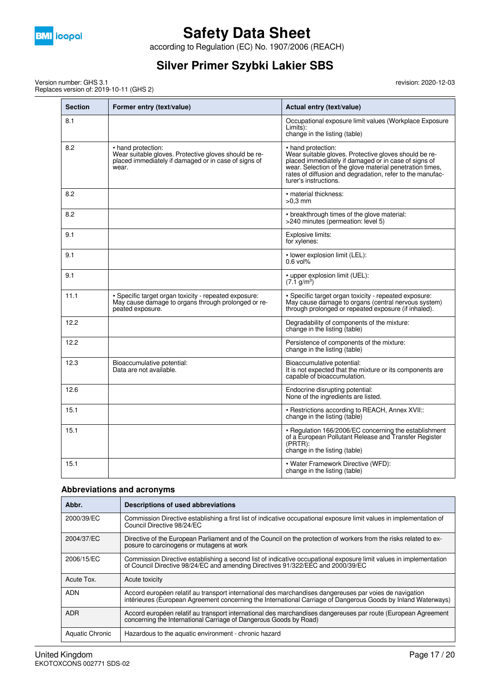

according to Regulation (EC) No. 1907/2006 (REACH)

## **Silver Primer Szybki Lakier SBS**

Version number: GHS 3.1 Replaces version of: 2019-10-11 (GHS 2) revision: 2020-12-03

| <b>Section</b> | Former entry (text/value)                                                                                                                    | Actual entry (text/value)                                                                                                                                                                                                                                                             |
|----------------|----------------------------------------------------------------------------------------------------------------------------------------------|---------------------------------------------------------------------------------------------------------------------------------------------------------------------------------------------------------------------------------------------------------------------------------------|
| 8.1            |                                                                                                                                              | Occupational exposure limit values (Workplace Exposure<br>Limits):<br>change in the listing (table)                                                                                                                                                                                   |
| 8.2            | • hand protection:<br>Wear suitable gloves. Protective gloves should be re-<br>placed immediately if damaged or in case of signs of<br>wear. | • hand protection:<br>Wear suitable gloves. Protective gloves should be re-<br>placed immediately if damaged or in case of signs of<br>wear. Selection of the glove material penetration times,<br>rates of diffusion and degradation, refer to the manufac-<br>turer's instructions. |
| 8.2            |                                                                                                                                              | • material thickness:<br>$>0.3$ mm                                                                                                                                                                                                                                                    |
| 8.2            |                                                                                                                                              | • breakthrough times of the glove material:<br>>240 minutes (permeation: level 5)                                                                                                                                                                                                     |
| 9.1            |                                                                                                                                              | Explosive limits:<br>for xylenes:                                                                                                                                                                                                                                                     |
| 9.1            |                                                                                                                                              | • lower explosion limit (LEL):<br>$0.6$ vol%                                                                                                                                                                                                                                          |
| 9.1            |                                                                                                                                              | • upper explosion limit (UEL):<br>$(7.1 \text{ g/m}^3)$                                                                                                                                                                                                                               |
| 11.1           | . Specific target organ toxicity - repeated exposure:<br>May cause damage to organs through prolonged or re-<br>peated exposure.             | . Specific target organ toxicity - repeated exposure:<br>May cause damage to organs (central nervous system)<br>through prolonged or repeated exposure (if inhaled).                                                                                                                  |
| 12.2           |                                                                                                                                              | Degradability of components of the mixture:<br>change in the listing (table)                                                                                                                                                                                                          |
| 12.2           |                                                                                                                                              | Persistence of components of the mixture:<br>change in the listing (table)                                                                                                                                                                                                            |
| 12.3           | Bioaccumulative potential:<br>Data are not available.                                                                                        | Bioaccumulative potential:<br>It is not expected that the mixture or its components are<br>capable of bioaccumulation.                                                                                                                                                                |
| 12.6           |                                                                                                                                              | Endocrine disrupting potential:<br>None of the ingredients are listed.                                                                                                                                                                                                                |
| 15.1           |                                                                                                                                              | • Restrictions according to REACH, Annex XVII::<br>change in the listing (table)                                                                                                                                                                                                      |
| 15.1           |                                                                                                                                              | • Regulation 166/2006/EC concerning the establishment<br>of a European Pollutant Release and Transfer Register<br>$(PRTR)$ :<br>change in the listing (table)                                                                                                                         |
| 15.1           |                                                                                                                                              | • Water Framework Directive (WFD):<br>change in the listing (table)                                                                                                                                                                                                                   |

#### **Abbreviations and acronyms**

| Abbr.           | Descriptions of used abbreviations                                                                                                                                                                                       |
|-----------------|--------------------------------------------------------------------------------------------------------------------------------------------------------------------------------------------------------------------------|
| 2000/39/EC      | Commission Directive establishing a first list of indicative occupational exposure limit values in implementation of<br>Council Directive 98/24/EC                                                                       |
| 2004/37/EC      | Directive of the European Parliament and of the Council on the protection of workers from the risks related to ex-<br>posure to carcinogens or mutagens at work                                                          |
| 2006/15/EC      | Commission Directive establishing a second list of indicative occupational exposure limit values in implementation<br>of Council Directive 98/24/EC and amending Directives 91/322/EEC and 2000/39/EC                    |
| Acute Tox.      | Acute toxicity                                                                                                                                                                                                           |
| <b>ADN</b>      | Accord européen relatif au transport international des marchandises dangereuses par voies de navigation<br>intérieures (European Agreement concerning the International Carriage of Dangerous Goods by Inland Waterways) |
| <b>ADR</b>      | Accord européen relatif au transport international des marchandises dangereuses par route (European Agreement<br>concerning the International Carriage of Dangerous Goods by Road)                                       |
| Aquatic Chronic | Hazardous to the aquatic environment - chronic hazard                                                                                                                                                                    |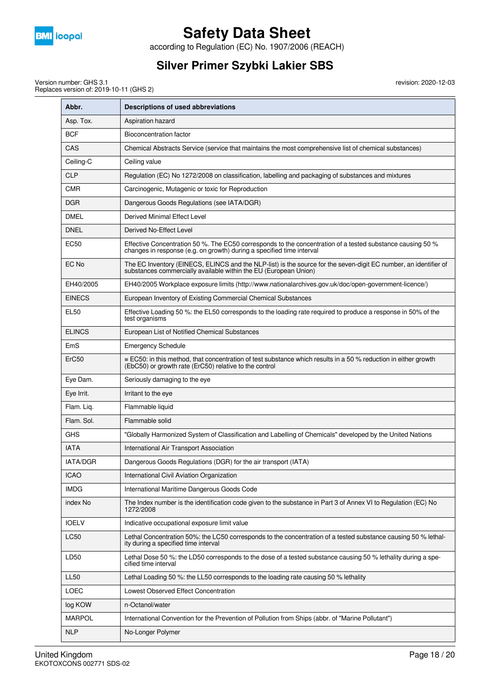

according to Regulation (EC) No. 1907/2006 (REACH)

## **Silver Primer Szybki Lakier SBS**

Version number: GHS 3.1 Replaces version of: 2019-10-11 (GHS 2)

| Abbr.             | Descriptions of used abbreviations                                                                                                                                                   |
|-------------------|--------------------------------------------------------------------------------------------------------------------------------------------------------------------------------------|
| Asp. Tox.         | Aspiration hazard                                                                                                                                                                    |
| <b>BCF</b>        | Bioconcentration factor                                                                                                                                                              |
| CAS               | Chemical Abstracts Service (service that maintains the most comprehensive list of chemical substances)                                                                               |
| Ceiling-C         | Ceiling value                                                                                                                                                                        |
| <b>CLP</b>        | Regulation (EC) No 1272/2008 on classification, labelling and packaging of substances and mixtures                                                                                   |
| <b>CMR</b>        | Carcinogenic, Mutagenic or toxic for Reproduction                                                                                                                                    |
| <b>DGR</b>        | Dangerous Goods Regulations (see IATA/DGR)                                                                                                                                           |
| DMEL              | Derived Minimal Effect Level                                                                                                                                                         |
| <b>DNEL</b>       | Derived No-Effect Level                                                                                                                                                              |
| EC50              | Effective Concentration 50 %. The EC50 corresponds to the concentration of a tested substance causing 50 %<br>changes in response (e.g. on growth) during a specified time interval  |
| EC No             | The EC Inventory (EINECS, ELINCS and the NLP-list) is the source for the seven-digit EC number, an identifier of<br>substances commercially available within the EU (European Union) |
| EH40/2005         | EH40/2005 Workplace exposure limits (http://www.nationalarchives.gov.uk/doc/open-government-licence/)                                                                                |
| <b>EINECS</b>     | European Inventory of Existing Commercial Chemical Substances                                                                                                                        |
| EL50              | Effective Loading 50 %: the EL50 corresponds to the loading rate required to produce a response in 50% of the<br>test organisms                                                      |
| <b>ELINCS</b>     | European List of Notified Chemical Substances                                                                                                                                        |
| EmS               | <b>Emergency Schedule</b>                                                                                                                                                            |
| ErC <sub>50</sub> | $\equiv$ EC50: in this method, that concentration of test substance which results in a 50 % reduction in either growth<br>(EbC50) or growth rate (ErC50) relative to the control     |
| Eye Dam.          | Seriously damaging to the eye                                                                                                                                                        |
| Eye Irrit.        | Irritant to the eye                                                                                                                                                                  |
| Flam. Lig.        | Flammable liquid                                                                                                                                                                     |
| Flam. Sol.        | Flammable solid                                                                                                                                                                      |
| <b>GHS</b>        | "Globally Harmonized System of Classification and Labelling of Chemicals" developed by the United Nations                                                                            |
| <b>IATA</b>       | International Air Transport Association                                                                                                                                              |
| <b>IATA/DGR</b>   | Dangerous Goods Regulations (DGR) for the air transport (IATA)                                                                                                                       |
| <b>ICAO</b>       | International Civil Aviation Organization                                                                                                                                            |
| <b>IMDG</b>       | International Maritime Dangerous Goods Code                                                                                                                                          |
| index No          | The Index number is the identification code given to the substance in Part 3 of Annex VI to Regulation (EC) No<br>1272/2008                                                          |
| <b>IOELV</b>      | Indicative occupational exposure limit value                                                                                                                                         |
| <b>LC50</b>       | Lethal Concentration 50%: the LC50 corresponds to the concentration of a tested substance causing 50 % lethal-<br>ity during a specified time interval                               |
| LD50              | Lethal Dose 50 %: the LD50 corresponds to the dose of a tested substance causing 50 % lethality during a spe-<br>cified time interval                                                |
| <b>LL50</b>       | Lethal Loading 50 %: the LL50 corresponds to the loading rate causing 50 % lethality                                                                                                 |
| LOEC              | Lowest Observed Effect Concentration                                                                                                                                                 |
| log KOW           | n-Octanol/water                                                                                                                                                                      |
| <b>MARPOL</b>     | International Convention for the Prevention of Pollution from Ships (abbr. of "Marine Pollutant")                                                                                    |
| <b>NLP</b>        | No-Longer Polymer                                                                                                                                                                    |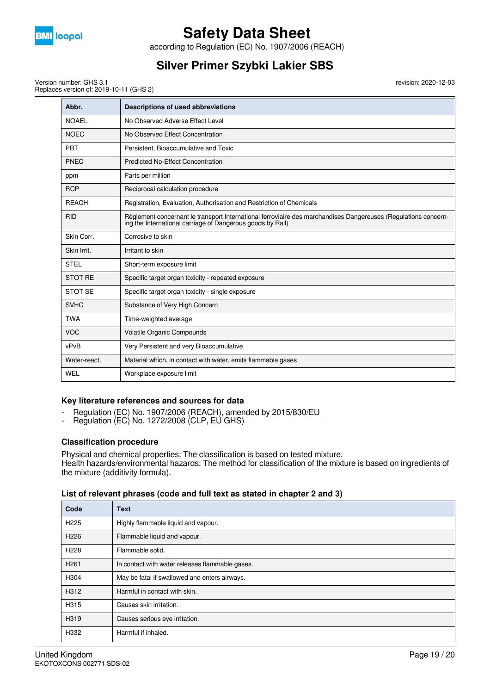

according to Regulation (EC) No. 1907/2006 (REACH)

## **Silver Primer Szybki Lakier SBS**

revision: 2020-12-03

Version number: GHS 3.1 Replaces version of: 2019-10-11 (GHS 2)

| Abbr.          | Descriptions of used abbreviations                                                                                                                                           |
|----------------|------------------------------------------------------------------------------------------------------------------------------------------------------------------------------|
| <b>NOAEL</b>   | No Observed Adverse Effect Level                                                                                                                                             |
| <b>NOEC</b>    | No Observed Effect Concentration                                                                                                                                             |
| <b>PBT</b>     | Persistent, Bioaccumulative and Toxic                                                                                                                                        |
| <b>PNEC</b>    | <b>Predicted No-Effect Concentration</b>                                                                                                                                     |
| ppm            | Parts per million                                                                                                                                                            |
| <b>RCP</b>     | Reciprocal calculation procedure                                                                                                                                             |
| <b>REACH</b>   | Registration, Evaluation, Authorisation and Restriction of Chemicals                                                                                                         |
| <b>RID</b>     | Règlement concernant le transport International ferroviaire des marchandises Dangereuses (Regulations concern-<br>ing the International carriage of Dangerous goods by Rail) |
| Skin Corr.     | Corrosive to skin                                                                                                                                                            |
| Skin Irrit.    | Irritant to skin                                                                                                                                                             |
| <b>STEL</b>    | Short-term exposure limit                                                                                                                                                    |
| <b>STOT RE</b> | Specific target organ toxicity - repeated exposure                                                                                                                           |
| <b>STOT SE</b> | Specific target organ toxicity - single exposure                                                                                                                             |
| <b>SVHC</b>    | Substance of Very High Concern                                                                                                                                               |
| <b>TWA</b>     | Time-weighted average                                                                                                                                                        |
| <b>VOC</b>     | Volatile Organic Compounds                                                                                                                                                   |
| vPvB           | Very Persistent and very Bioaccumulative                                                                                                                                     |
| Water-react.   | Material which, in contact with water, emits flammable gases                                                                                                                 |
| WEL            | Workplace exposure limit                                                                                                                                                     |

### **Key literature references and sources for data**

- Regulation (EC) No. 1907/2006 (REACH), amended by 2015/830/EU
- Regulation (EC) No. 1272/2008 (CLP, EU GHS)

#### **Classification procedure**

Physical and chemical properties: The classification is based on tested mixture. Health hazards/environmental hazards: The method for classification of the mixture is based on ingredients of the mixture (additivity formula).

#### **List of relevant phrases (code and full text as stated in chapter 2 and 3)**

| Code             | <b>Text</b>                                     |
|------------------|-------------------------------------------------|
| H <sub>225</sub> | Highly flammable liquid and vapour.             |
| H <sub>226</sub> | Flammable liquid and vapour.                    |
| H <sub>228</sub> | Flammable solid.                                |
| H <sub>261</sub> | In contact with water releases flammable gases. |
| H304             | May be fatal if swallowed and enters airways.   |
| H312             | Harmful in contact with skin.                   |
| H315             | Causes skin irritation.                         |
| H319             | Causes serious eye irritation.                  |
| H332             | Harmful if inhaled.                             |